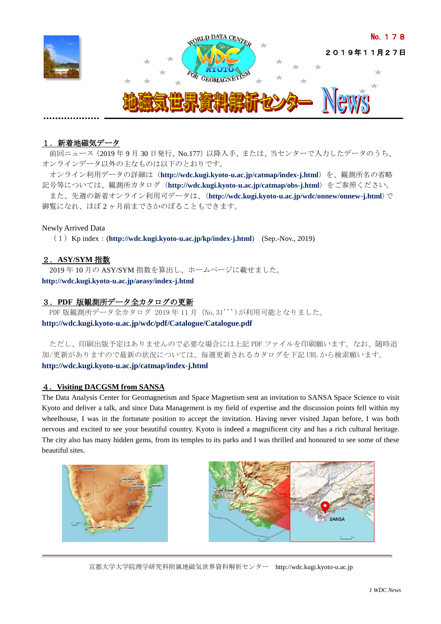

# 1. 新着地磁気データ

前回ニュース(2019 年 9 月 30 日発行、No.177)以降入手、または、当センターで入力したデータのうち、 オンラインデータ以外の主なものは以下のとおりです。

オンライン利用データの詳細は (**<http://wdc.kugi.kyoto-u.ac.jp/catmap/index-j.html>**) を、観測所名の省略 記号等については、観測所カタログ (**<http://wdc.kugi.kyoto-u.ac.jp/catmap/obs-j.html>**) をご参照ください。 また、先週の新着オンライン利用可データは、(**<http://wdc.kugi.kyoto-u.ac.jp/wdc/onnew/onnew-j.html>**)で 御覧になれ、ほぼ 2 ヶ月前までさかのぼることもできます。

## Newly Arrived Data

(1)Kp index:(**<http://wdc.kugi.kyoto-u.ac.jp/kp/index-j.html>**) (Sep.-Nov., 2019)

# 2.**ASY/SYM** 指数

2019 年 10 月の ASY/SYM 指数を算出し、ホームページに載せました。 **<http://wdc.kugi.kyoto-u.ac.jp/aeasy/index-j.html>**

# 3.**PDF** 版観測所データ全カタログの更新

PDF 版観測所データ全カタログ 2019年11月 (No.31'')が利用可能となりました。

**http://wdc.kugi.kyoto-u.ac.jp/wdc/pdf/Catalogue/Catalogue.pdf**

ただし、印刷出版予定はありませんので必要な場合には上記 PDF ファイルを印刷願います。なお、随時追 加/更新がありますので最新の状況については、毎週更新されるカタログを下記 URL から検索願います。 **http://wdc.kugi.kyoto-u.ac.jp/catmap/index-j.html**

## 4.**Visiting DACGSM from SANSA**

The Data Analysis Center for Geomagnetism and Space Magnetism sent an invitation to SANSA Space Science to visit Kyoto and deliver a talk, and since Data Management is my field of expertise and the discussion points fell within my wheelhouse, I was in the fortunate position to accept the invitation. Having never visited Japan before, I was both nervous and excited to see your beautiful country. Kyoto is indeed a magnificent city and has a rich cultural heritage. The city also has many hidden gems, from its temples to its parks and I was thrilled and honoured to see some of these beautiful sites.





京都大学大学院理学研究科附属地磁気世界資料解析センター [http://wdc.kugi.kyoto-u.ac.jp](http://wdc.kugi.kyoto-u.ac.jp/)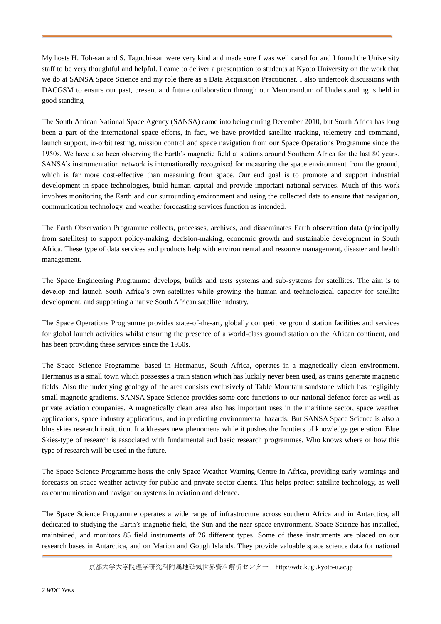My hosts H. Toh-san and S. Taguchi-san were very kind and made sure I was well cared for and I found the University staff to be very thoughtful and helpful. I came to deliver a presentation to students at Kyoto University on the work that we do at SANSA Space Science and my role there as a Data Acquisition Practitioner. I also undertook discussions with DACGSM to ensure our past, present and future collaboration through our Memorandum of Understanding is held in good standing

The South African National Space Agency (SANSA) came into being during December 2010, but South Africa has long been a part of the international space efforts, in fact, we have provided satellite tracking, telemetry and command, launch support, in-orbit testing, mission control and space navigation from our Space Operations Programme since the 1950s. We have also been observing the Earth's magnetic field at stations around Southern Africa for the last 80 years. SANSA's instrumentation network is internationally recognised for measuring the space environment from the ground, which is far more cost-effective than measuring from space. Our end goal is to promote and support industrial development in space technologies, build human capital and provide important national services. Much of this work involves monitoring the Earth and our surrounding environment and using the collected data to ensure that navigation, communication technology, and weather forecasting services function as intended.

The Earth Observation Programme collects, processes, archives, and disseminates Earth observation data (principally from satellites) to support policy-making, decision-making, economic growth and sustainable development in South Africa. These type of data services and products help with environmental and resource management, disaster and health management.

The Space Engineering Programme develops, builds and tests systems and sub-systems for satellites. The aim is to develop and launch South Africa's own satellites while growing the human and technological capacity for satellite development, and supporting a native South African satellite industry.

The Space Operations Programme provides state-of-the-art, globally competitive ground station facilities and services for global launch activities whilst ensuring the presence of a world-class ground station on the African continent, and has been providing these services since the 1950s.

The Space Science Programme, based in Hermanus, South Africa, operates in a magnetically clean environment. Hermanus is a small town which possesses a train station which has luckily never been used, as trains generate magnetic fields. Also the underlying geology of the area consists exclusively of Table Mountain sandstone which has negligibly small magnetic gradients. SANSA Space Science provides some core functions to our national defence force as well as private aviation companies. A magnetically clean area also has important uses in the maritime sector, space weather applications, space industry applications, and in predicting environmental hazards. But SANSA Space Science is also a blue skies research institution. It addresses new phenomena while it pushes the frontiers of knowledge generation. Blue Skies-type of research is associated with fundamental and basic research programmes. Who knows where or how this type of research will be used in the future.

The Space Science Programme hosts the only Space Weather Warning Centre in Africa, providing early warnings and forecasts on space weather activity for public and private sector clients. This helps protect satellite technology, as well as communication and navigation systems in aviation and defence.

The Space Science Programme operates a wide range of infrastructure across southern Africa and in Antarctica, all dedicated to studying the Earth's magnetic field, the Sun and the near-space environment. Space Science has installed, maintained, and monitors 85 field instruments of 26 different types. Some of these instruments are placed on our research bases in Antarctica, and on Marion and Gough Islands. They provide valuable space science data for national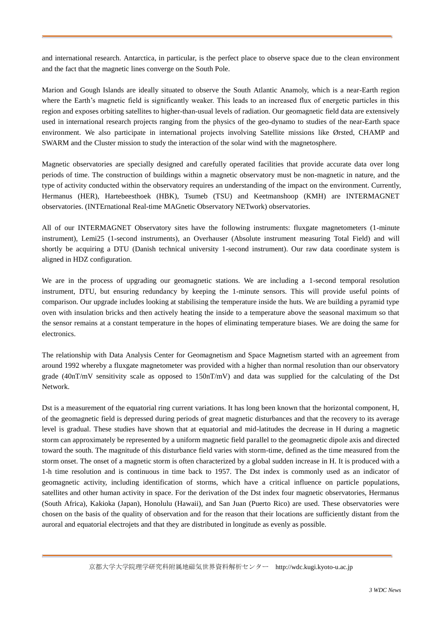and international research. Antarctica, in particular, is the perfect place to observe space due to the clean environment and the fact that the magnetic lines converge on the South Pole.

Marion and Gough Islands are ideally situated to observe the South Atlantic Anamoly, which is a near-Earth region where the Earth's magnetic field is significantly weaker. This leads to an increased flux of energetic particles in this region and exposes orbiting satellites to higher-than-usual levels of radiation. Our geomagnetic field data are extensively used in international research projects ranging from the physics of the geo-dynamo to studies of the near-Earth space environment. We also participate in international projects involving Satellite missions like Ørsted, CHAMP and SWARM and the Cluster mission to study the interaction of the solar wind with the magnetosphere.

Magnetic observatories are specially designed and carefully operated facilities that provide accurate data over long periods of time. The construction of buildings within a magnetic observatory must be non-magnetic in nature, and the type of activity conducted within the observatory requires an understanding of the impact on the environment. Currently, Hermanus (HER), Hartebeesthoek (HBK), Tsumeb (TSU) and Keetmanshoop (KMH) are INTERMAGNET observatories. (INTErnational Real-time MAGnetic Observatory NETwork) observatories.

All of our INTERMAGNET Observatory sites have the following instruments: fluxgate magnetometers (1-minute instrument), Lemi25 (1-second instruments), an Overhauser (Absolute instrument measuring Total Field) and will shortly be acquiring a DTU (Danish technical university 1-second instrument). Our raw data coordinate system is aligned in HDZ configuration.

We are in the process of upgrading our geomagnetic stations. We are including a 1-second temporal resolution instrument, DTU, but ensuring redundancy by keeping the 1-minute sensors. This will provide useful points of comparison. Our upgrade includes looking at stabilising the temperature inside the huts. We are building a pyramid type oven with insulation bricks and then actively heating the inside to a temperature above the seasonal maximum so that the sensor remains at a constant temperature in the hopes of eliminating temperature biases. We are doing the same for electronics.

The relationship with Data Analysis Center for Geomagnetism and Space Magnetism started with an agreement from around 1992 whereby a fluxgate magnetometer was provided with a higher than normal resolution than our observatory grade (40nT/mV sensitivity scale as opposed to 150nT/mV) and data was supplied for the calculating of the Dst Network.

Dst is a measurement of the equatorial ring current variations. It has long been known that the horizontal component, H, of the geomagnetic field is depressed during periods of great magnetic disturbances and that the recovery to its average level is gradual. These studies have shown that at equatorial and mid-latitudes the decrease in H during a magnetic storm can approximately be represented by a uniform magnetic field parallel to the geomagnetic dipole axis and directed toward the south. The magnitude of this disturbance field varies with storm-time, defined as the time measured from the storm onset. The onset of a magnetic storm is often characterized by a global sudden increase in H. It is produced with a 1-h time resolution and is continuous in time back to 1957. The Dst index is commonly used as an indicator of geomagnetic activity, including identification of storms, which have a critical influence on particle populations, satellites and other human activity in space. For the derivation of the Dst index four magnetic observatories, Hermanus (South Africa), Kakioka (Japan), Honolulu (Hawaii), and San Juan (Puerto Rico) are used. These observatories were chosen on the basis of the quality of observation and for the reason that their locations are sufficiently distant from the auroral and equatorial electrojets and that they are distributed in longitude as evenly as possible.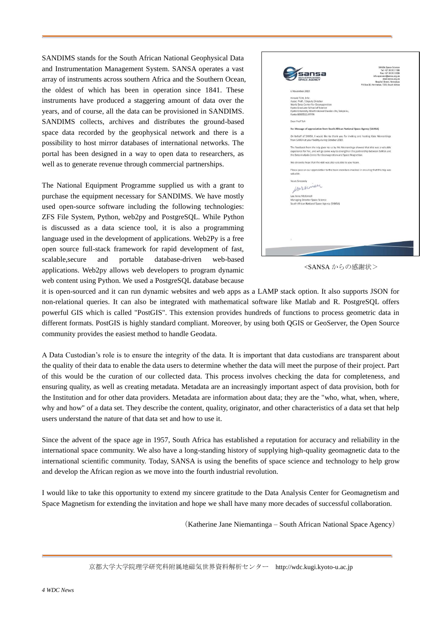SANDIMS stands for the South African National Geophysical Data and Instrumentation Management System. SANSA operates a vast array of instruments across southern Africa and the Southern Ocean, the oldest of which has been in operation since 1841. These instruments have produced a staggering amount of data over the years, and of course, all the data can be provisioned in SANDIMS. SANDIMS collects, archives and distributes the ground-based space data recorded by the geophysical network and there is a possibility to host mirror databases of international networks. The portal has been designed in a way to open data to researchers, as well as to generate revenue through commercial partnerships.

The National Equipment Programme supplied us with a grant to purchase the equipment necessary for SANDIMS. We have mostly used open-source software including the following technologies: ZFS File System, Python, web2py and PostgreSQL. While Python is discussed as a data science tool, it is also a programming language used in the development of applications. Web2Py is a free open source full-stack framework for rapid development of fast, scalable,secure and portable database-driven web-based applications. Web2py allows web developers to program dynamic web content using Python. We used a PostgreSQL database because



<SANSA からの感謝状>

it is open-sourced and it can run dynamic websites and web apps as a LAMP stack option. It also supports JSON for non-relational queries. It can also be integrated with mathematical software like Matlab and R. PostgreSQL offers powerful GIS which is called "PostGIS". This extension provides hundreds of functions to process geometric data in different formats. PostGIS is highly standard compliant. Moreover, by using both QGIS or GeoServer, the Open Source community provides the easiest method to handle Geodata.

A Data Custodian's role is to ensure the integrity of the data. It is important that data custodians are transparent about the quality of their data to enable the data users to determine whether the data will meet the purpose of their project. Part of this would be the curation of our collected data. This process involves checking the data for completeness, and ensuring quality, as well as creating metadata. Metadata are an increasingly important aspect of data provision, both for the Institution and for other data providers. Metadata are information about data; they are the "who, what, when, where, why and how" of a data set. They describe the content, quality, originator, and other characteristics of a data set that help users understand the nature of that data set and how to use it.

Since the advent of the space age in 1957, South Africa has established a reputation for accuracy and reliability in the international space community. We also have a long-standing history of supplying high-quality geomagnetic data to the international scientific community. Today, SANSA is using the benefits of space science and technology to help grow and develop the African region as we move into the fourth industrial revolution.

I would like to take this opportunity to extend my sincere gratitude to the Data Analysis Center for Geomagnetism and Space Magnetism for extending the invitation and hope we shall have many more decades of successful collaboration.

(Katherine Jane Niemantinga – South African National Space Agency)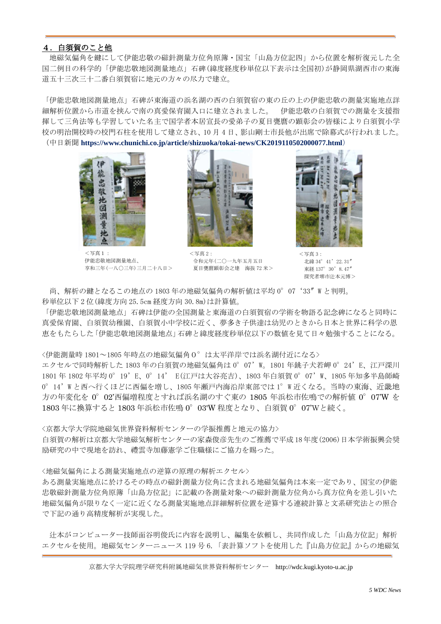## 4.白須賀のこと他

地磁気偏角を鍵にして伊能忠敬の磁針測量方位角原簿・国宝「山島方位記四」から位置を解析復元した全 国二例目の科学的「伊能忠敬地図測量地点」石碑(緯度経度秒単位以下表示は全国初)が静岡県湖西市の東海 道五十三次三十二番白須賀宿に地元の方々の尽力で建立。

「伊能忠敬地図測量地点」石碑が東海道の浜名湖の西の白須賀宿の東の丘の上の伊能忠敬の測量実施地点詳 細解析位置から市道を挟んで南の真愛保育園入口に建立されました。 伊能忠敬の白須賀での測量を支援指 揮して三角法等も学習していた名主で国学者本居宣長の愛弟子の夏目甕麿の顕彰会の皆様により白須賀小学 校の明治開校時の校門石柱を使用して建立され、10 月 4 日、影山剛士市長他が出席で除幕式が行われました。 (中日新聞 **<https://www.chunichi.co.jp/article/shizuoka/tokai-news/CK2019110502000077.html>**)



<写真1: 伊能忠敬地図測量地点、 享和三年(一八〇三年)三月二十八日>



<写真 2: 令和元年(二〇一九年五月五日 夏目甕麿顕彰会之建 海抜 72 米>



<写真 3: 北緯 34°41'22.31″ 東経 137°30'8.47″ 探究者堺市汁本元博>

尚、解析の鍵となるこの地点の 1803 年の地磁気偏角の解析値は平均 0°07'33″W と判明。 秒単位以下 2 位(緯度方向 25.5cm 経度方向 30.8m)は計算値。

「伊能忠敬地図測量地点」石碑は伊能の全国測量と東海道の白須賀宿の学術を物語る記念碑になると同時に 真愛保育園、白須賀幼稚園、白須賀小中学校に近く、夢多き子供達は幼児のときから日本と世界に科学の恩 恵をもたらした「伊能忠敬地図測量地点」石碑と緯度経度秒単位以下の数値を見て日々勉強することになる。

<伊能測量時 1801~1805 年時点の地磁気偏角0°は太平洋岸では浜名湖付近になる>

エクセルで同時解析した 1803 年の白須賀の地磁気偏角は 0°07'W。1801 年銚子犬若岬 0°24'E、江戸深川 1801 年 1802 年平均 0°19'E、0°14' E(江戸は大谷亮吉)、1803 年白須賀 0°07'W、1805 年知多半島師崎 0°14'W と西へ行くほどに西偏を増し、1805 年瀬戸内海沿岸東部では 1°W 近くなる。当時の東海、近畿地 方の年変化を 0°02'西偏増程度とすれば浜名湖のすぐ東の 1805 年浜松市佐鳴での解析値 0°07'W を 1803 年に換算すると 1803 年浜松市佐鳴 0°03'W 程度となり、白須賀 0°07'Wと続く。

<京都大学大学院地磁気世界資料解析センターの学振推薦と地元の協力>

白須賀の解析は京都大学地磁気解析センターの家森俊彦先生のご推薦で平成 18年度(2006)日本学術振興会奨 励研究の中で現地を訪れ、禮雲寺加藤憲学ご住職様にご協力を賜った。

<地磁気偏角による測量実施地点の逆算の原理の解析エクセル>

ある測量実施地点に於けるその時点の磁針測量方位角に含まれる地磁気偏角は本来一定であり、国宝の伊能 忠敬磁針測量方位角原簿「山島方位記」に記載の各測量対象への磁針測量方位角から真方位角を差し引いた 地磁気偏角が限りなく一定に近くなる測量実施地点詳細解析位置を逆算する連続計算と文系研究法との照合 で下記の通り高精度解析が実現した。

辻本がコンピューター技師面谷明俊氏に内容を説明し、編集を依頼し、共同作成した「山島方位記」解析 エクセルを使用。地磁気センターニュース 119 号 6.「表計算ソフトを使用した『山島方位記』からの地磁気